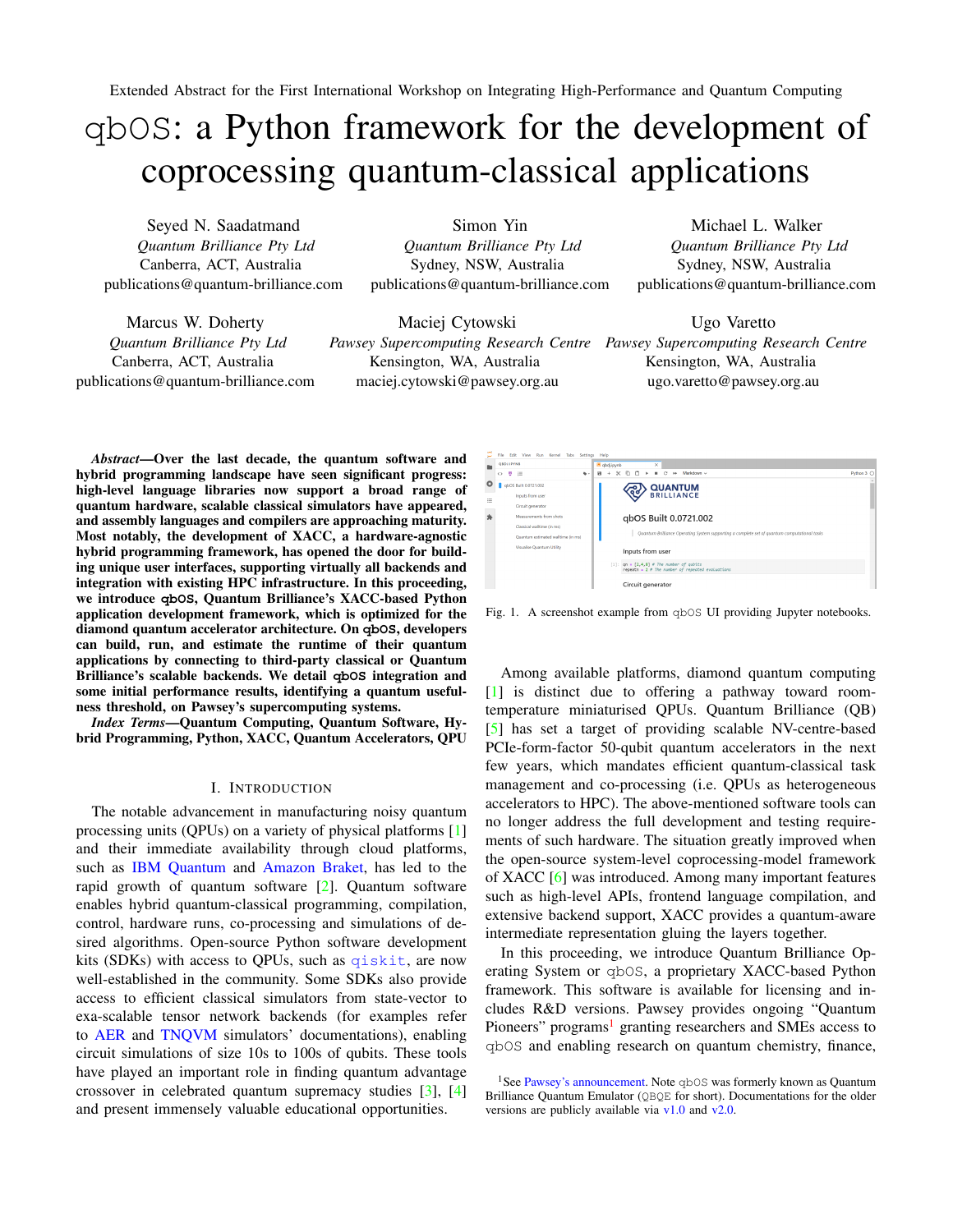Extended Abstract for the First International Workshop on Integrating High-Performance and Quantum Computing

# qbOS: a Python framework for the development of coprocessing quantum-classical applications

Seyed N. Saadatmand *Quantum Brilliance Pty Ltd* Canberra, ACT, Australia publications@quantum-brilliance.com

Marcus W. Doherty *Quantum Brilliance Pty Ltd* Canberra, ACT, Australia publications@quantum-brilliance.com

Simon Yin *Quantum Brilliance Pty Ltd* Sydney, NSW, Australia publications@quantum-brilliance.com

Maciej Cytowski *Pawsey Supercomputing Research Centre Pawsey Supercomputing Research Centre* Kensington, WA, Australia maciej.cytowski@pawsey.org.au

Michael L. Walker *Quantum Brilliance Pty Ltd* Sydney, NSW, Australia publications@quantum-brilliance.com

Ugo Varetto Kensington, WA, Australia ugo.varetto@pawsey.org.au

*Abstract*—Over the last decade, the quantum software and hybrid programming landscape have seen significant progress: high-level language libraries now support a broad range of quantum hardware, scalable classical simulators have appeared, and assembly languages and compilers are approaching maturity. Most notably, the development of XACC, a hardware-agnostic hybrid programming framework, has opened the door for building unique user interfaces, supporting virtually all backends and integration with existing HPC infrastructure. In this proceeding, we introduce **qbOS**, Quantum Brilliance's XACC-based Python application development framework, which is optimized for the diamond quantum accelerator architecture. On **qbOS**, developers can build, run, and estimate the runtime of their quantum applications by connecting to third-party classical or Quantum Brilliance's scalable backends. We detail **qbOS** integration and some initial performance results, identifying a quantum usefulness threshold, on Pawsey's supercomputing systems.

*Index Terms*—Quantum Computing, Quantum Software, Hybrid Programming, Python, XACC, Quantum Accelerators, QPU

## I. INTRODUCTION

The notable advancement in manufacturing noisy quantum processing units (QPUs) on a variety of physical platforms [\[1\]](#page-1-0) and their immediate availability through cloud platforms, such as [IBM Quantum](https://quantum-computing.ibm.com/) and [Amazon Braket,](https://aws.amazon.com/braket/) has led to the rapid growth of quantum software [\[2\]](#page-1-1). Quantum software enables hybrid quantum-classical programming, compilation, control, hardware runs, co-processing and simulations of desired algorithms. Open-source Python software development kits (SDKs) with access to QPUs, such as  $q$ iskit, are now well-established in the community. Some SDKs also provide access to efficient classical simulators from state-vector to exa-scalable tensor network backends (for examples refer to [AER](https://qiskit.org/documentation/apidoc/aer.html) and [TNQVM](https://github.com/ORNL-QCI/tnqvm) simulators' documentations), enabling circuit simulations of size 10s to 100s of qubits. These tools have played an important role in finding quantum advantage crossover in celebrated quantum supremacy studies [\[3\]](#page-1-2), [\[4\]](#page-1-3) and present immensely valuable educational opportunities.



Fig. 1. A screenshot example from qbOS UI providing Jupyter notebooks.

<span id="page-0-1"></span>Among available platforms, diamond quantum computing [\[1\]](#page-1-0) is distinct due to offering a pathway toward roomtemperature miniaturised QPUs. Quantum Brilliance (QB) [\[5\]](#page-1-4) has set a target of providing scalable NV-centre-based PCIe-form-factor 50-qubit quantum accelerators in the next few years, which mandates efficient quantum-classical task management and co-processing (i.e. QPUs as heterogeneous accelerators to HPC). The above-mentioned software tools can no longer address the full development and testing requirements of such hardware. The situation greatly improved when the open-source system-level coprocessing-model framework of XACC [\[6\]](#page-1-5) was introduced. Among many important features such as high-level APIs, frontend language compilation, and extensive backend support, XACC provides a quantum-aware intermediate representation gluing the layers together.

In this proceeding, we introduce Quantum Brilliance Operating System or qbOS, a proprietary XACC-based Python framework. This software is available for licensing and includes R&D versions. Pawsey provides ongoing "Quantum Pioneers" programs<sup>[1](#page-0-0)</sup> granting researchers and SMEs access to qbOS and enabling research on quantum chemistry, finance,

<span id="page-0-0"></span><sup>&</sup>lt;sup>1</sup>See [Pawsey's announcement.](https://pawsey.org.au/worlds-first-market-ready-diamond-based-quantum-accelerator-coming-to-pawsey-supercomputing-centre/) Note  $q$ bOS was formerly known as Quantum Brilliance Quantum Emulator (QBQE for short). Documentations for the older versions are publicly available via [v1.0](https://quantumbrilliance.notion.site/Quantum-Emulator-v1-0-User-Guide-for-command-lines-20905c04dd6b4a279cc32a528cdf7bfd) and [v2.0.](https://quantumbrilliance.notion.site/Quantum-Emulator-v2-0-User-Guide-for-Python-Jupyter-670318f9045647d598548214e84dc497)